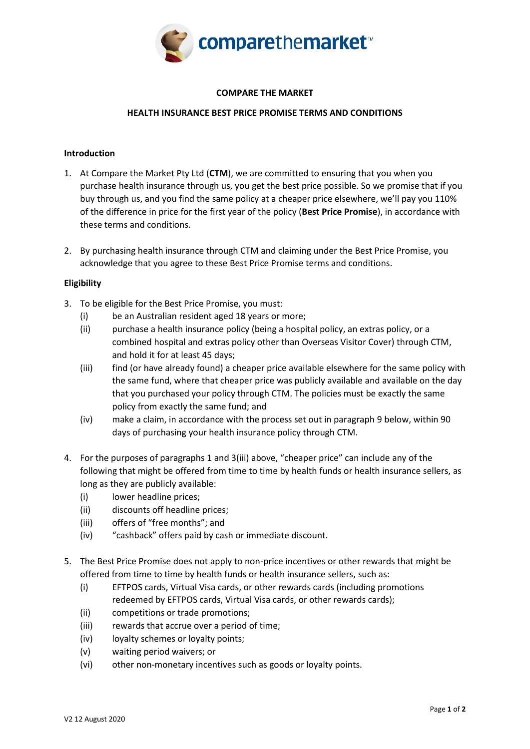

# **COMPARE THE MARKET**

# **HEALTH INSURANCE BEST PRICE PROMISE TERMS AND CONDITIONS**

#### **Introduction**

- 1. At Compare the Market Pty Ltd (**CTM**), we are committed to ensuring that you when you purchase health insurance through us, you get the best price possible. So we promise that if you buy through us, and you find the same policy at a cheaper price elsewhere, we'll pay you 110% of the difference in price for the first year of the policy (**Best Price Promise**), in accordance with these terms and conditions.
- 2. By purchasing health insurance through CTM and claiming under the Best Price Promise, you acknowledge that you agree to these Best Price Promise terms and conditions.

# **Eligibility**

- 3. To be eligible for the Best Price Promise, you must:
	- (i) be an Australian resident aged 18 years or more;
	- (ii) purchase a health insurance policy (being a hospital policy, an extras policy, or a combined hospital and extras policy other than Overseas Visitor Cover) through CTM, and hold it for at least 45 days;
	- (iii) find (or have already found) a cheaper price available elsewhere for the same policy with the same fund, where that cheaper price was publicly available and available on the day that you purchased your policy through CTM. The policies must be exactly the same policy from exactly the same fund; and
	- (iv) make a claim, in accordance with the process set out in paragraph 9 below, within 90 days of purchasing your health insurance policy through CTM.
- 4. For the purposes of paragraphs 1 and 3(iii) above, "cheaper price" can include any of the following that might be offered from time to time by health funds or health insurance sellers, as long as they are publicly available:
	- (i) lower headline prices;
	- (ii) discounts off headline prices;
	- (iii) offers of "free months"; and
	- (iv) "cashback" offers paid by cash or immediate discount.
- 5. The Best Price Promise does not apply to non-price incentives or other rewards that might be offered from time to time by health funds or health insurance sellers, such as:
	- (i) EFTPOS cards, Virtual Visa cards, or other rewards cards (including promotions redeemed by EFTPOS cards, Virtual Visa cards, or other rewards cards);
	- (ii) competitions or trade promotions;
	- (iii) rewards that accrue over a period of time;
	- (iv) loyalty schemes or loyalty points;
	- (v) waiting period waivers; or
	- (vi) other non-monetary incentives such as goods or loyalty points.